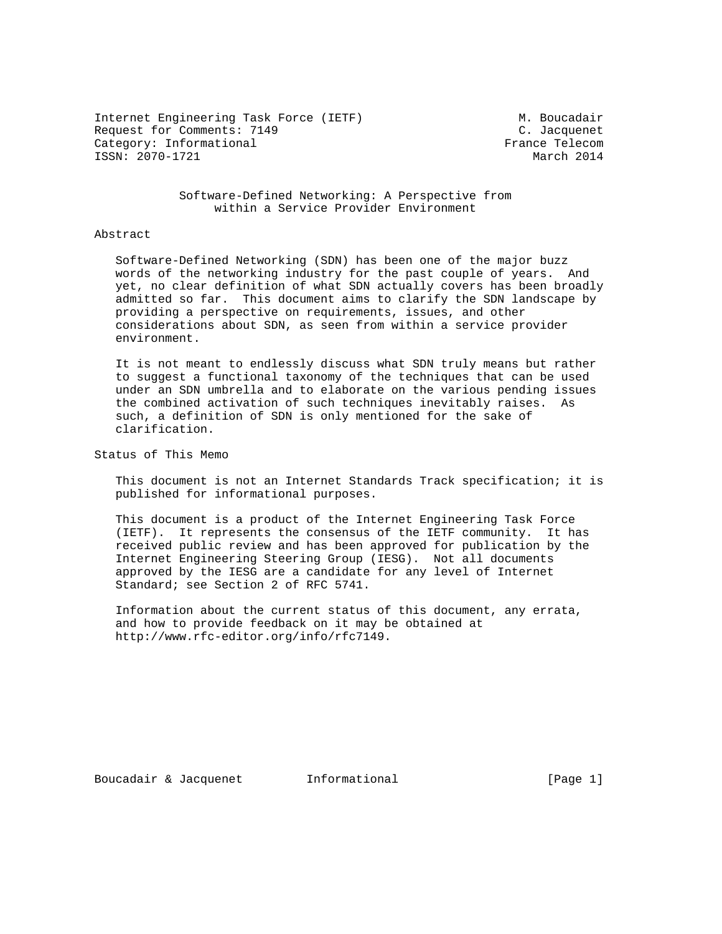Internet Engineering Task Force (IETF) M. Boucadair Request for Comments: 7149 C. Jacquenet<br>
Category: Informational Category: Informational Category: Informational ISSN: 2070-1721 March 2014

### Software-Defined Networking: A Perspective from within a Service Provider Environment

### Abstract

 Software-Defined Networking (SDN) has been one of the major buzz words of the networking industry for the past couple of years. And yet, no clear definition of what SDN actually covers has been broadly admitted so far. This document aims to clarify the SDN landscape by providing a perspective on requirements, issues, and other considerations about SDN, as seen from within a service provider environment.

 It is not meant to endlessly discuss what SDN truly means but rather to suggest a functional taxonomy of the techniques that can be used under an SDN umbrella and to elaborate on the various pending issues the combined activation of such techniques inevitably raises. As such, a definition of SDN is only mentioned for the sake of clarification.

Status of This Memo

 This document is not an Internet Standards Track specification; it is published for informational purposes.

 This document is a product of the Internet Engineering Task Force (IETF). It represents the consensus of the IETF community. It has received public review and has been approved for publication by the Internet Engineering Steering Group (IESG). Not all documents approved by the IESG are a candidate for any level of Internet Standard; see Section 2 of RFC 5741.

 Information about the current status of this document, any errata, and how to provide feedback on it may be obtained at http://www.rfc-editor.org/info/rfc7149.

Boucadair & Jacquenet 1nformational 1000 [Page 1]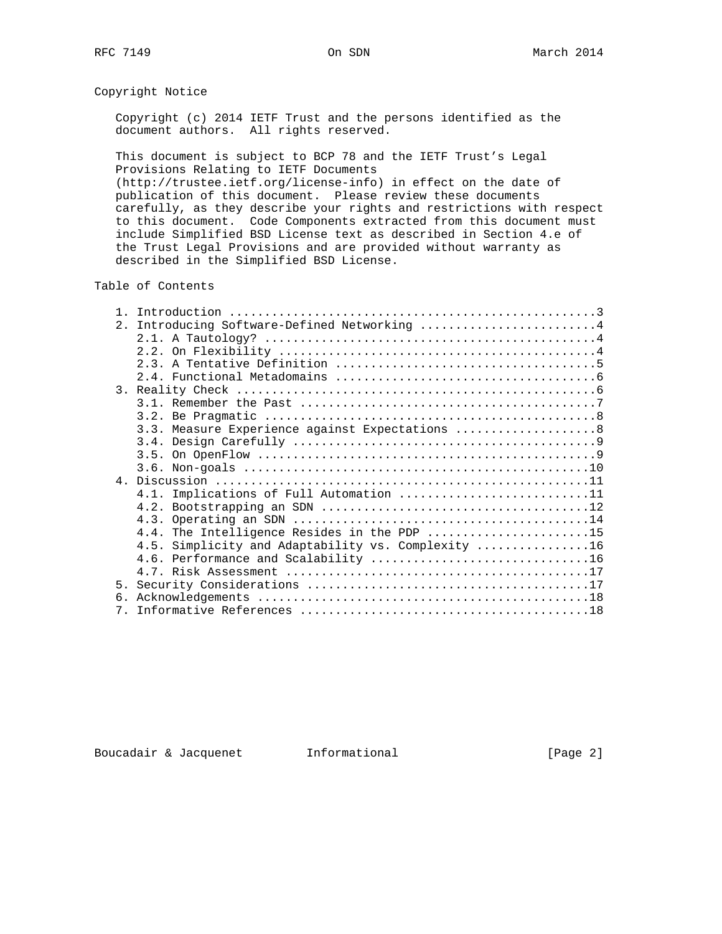Copyright Notice

 Copyright (c) 2014 IETF Trust and the persons identified as the document authors. All rights reserved.

 This document is subject to BCP 78 and the IETF Trust's Legal Provisions Relating to IETF Documents

 (http://trustee.ietf.org/license-info) in effect on the date of publication of this document. Please review these documents carefully, as they describe your rights and restrictions with respect to this document. Code Components extracted from this document must include Simplified BSD License text as described in Section 4.e of the Trust Legal Provisions and are provided without warranty as described in the Simplified BSD License.

Table of Contents

| $\mathbf{1}$ |                                                    |
|--------------|----------------------------------------------------|
| 2.1          | Introducing Software-Defined Networking 4          |
|              |                                                    |
|              |                                                    |
|              |                                                    |
|              |                                                    |
|              |                                                    |
|              |                                                    |
|              |                                                    |
|              | 3.3. Measure Experience against Expectations  8    |
|              |                                                    |
|              |                                                    |
|              |                                                    |
|              |                                                    |
|              | 4.1. Implications of Full Automation 11            |
|              |                                                    |
|              |                                                    |
|              | 4.4. The Intelligence Resides in the PDP 15        |
|              | 4.5. Simplicity and Adaptability vs. Complexity 16 |
|              |                                                    |
|              |                                                    |
|              |                                                    |
| რ.           |                                                    |
| $7_{\circ}$  |                                                    |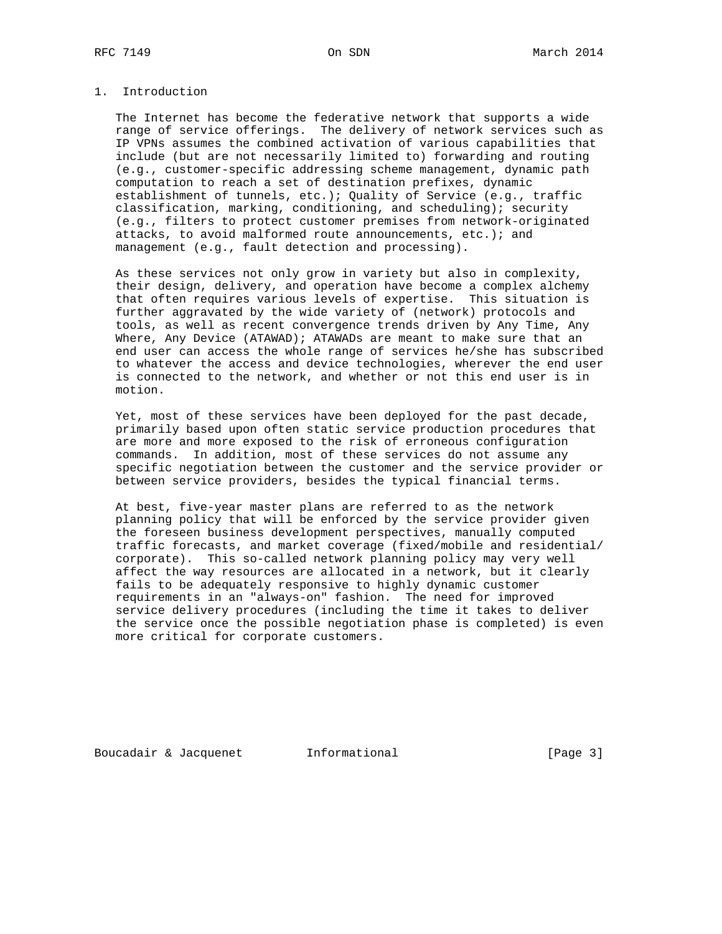# 1. Introduction

 The Internet has become the federative network that supports a wide range of service offerings. The delivery of network services such as IP VPNs assumes the combined activation of various capabilities that include (but are not necessarily limited to) forwarding and routing (e.g., customer-specific addressing scheme management, dynamic path computation to reach a set of destination prefixes, dynamic establishment of tunnels, etc.); Quality of Service (e.g., traffic classification, marking, conditioning, and scheduling); security (e.g., filters to protect customer premises from network-originated attacks, to avoid malformed route announcements, etc.); and management (e.g., fault detection and processing).

 As these services not only grow in variety but also in complexity, their design, delivery, and operation have become a complex alchemy that often requires various levels of expertise. This situation is further aggravated by the wide variety of (network) protocols and tools, as well as recent convergence trends driven by Any Time, Any Where, Any Device (ATAWAD); ATAWADs are meant to make sure that an end user can access the whole range of services he/she has subscribed to whatever the access and device technologies, wherever the end user is connected to the network, and whether or not this end user is in motion.

 Yet, most of these services have been deployed for the past decade, primarily based upon often static service production procedures that are more and more exposed to the risk of erroneous configuration commands. In addition, most of these services do not assume any specific negotiation between the customer and the service provider or between service providers, besides the typical financial terms.

 At best, five-year master plans are referred to as the network planning policy that will be enforced by the service provider given the foreseen business development perspectives, manually computed traffic forecasts, and market coverage (fixed/mobile and residential/ corporate). This so-called network planning policy may very well affect the way resources are allocated in a network, but it clearly fails to be adequately responsive to highly dynamic customer requirements in an "always-on" fashion. The need for improved service delivery procedures (including the time it takes to deliver the service once the possible negotiation phase is completed) is even more critical for corporate customers.

Boucadair & Jacquenet 1nformational [Page 3]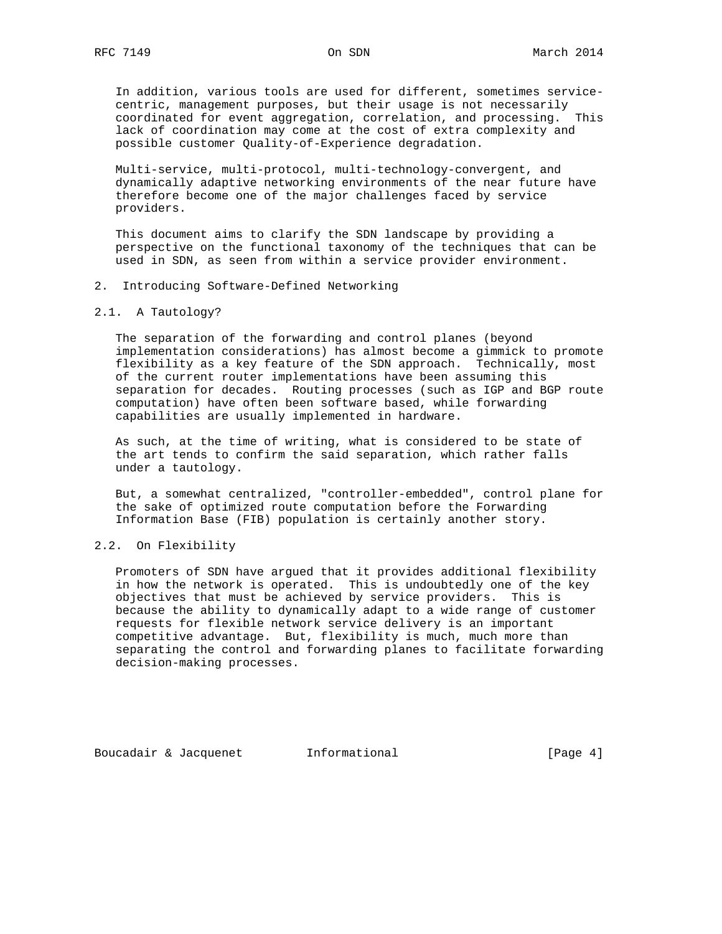In addition, various tools are used for different, sometimes service centric, management purposes, but their usage is not necessarily coordinated for event aggregation, correlation, and processing. This lack of coordination may come at the cost of extra complexity and possible customer Quality-of-Experience degradation.

 Multi-service, multi-protocol, multi-technology-convergent, and dynamically adaptive networking environments of the near future have therefore become one of the major challenges faced by service providers.

 This document aims to clarify the SDN landscape by providing a perspective on the functional taxonomy of the techniques that can be used in SDN, as seen from within a service provider environment.

### 2. Introducing Software-Defined Networking

### 2.1. A Tautology?

 The separation of the forwarding and control planes (beyond implementation considerations) has almost become a gimmick to promote flexibility as a key feature of the SDN approach. Technically, most of the current router implementations have been assuming this separation for decades. Routing processes (such as IGP and BGP route computation) have often been software based, while forwarding capabilities are usually implemented in hardware.

 As such, at the time of writing, what is considered to be state of the art tends to confirm the said separation, which rather falls under a tautology.

 But, a somewhat centralized, "controller-embedded", control plane for the sake of optimized route computation before the Forwarding Information Base (FIB) population is certainly another story.

### 2.2. On Flexibility

 Promoters of SDN have argued that it provides additional flexibility in how the network is operated. This is undoubtedly one of the key objectives that must be achieved by service providers. This is because the ability to dynamically adapt to a wide range of customer requests for flexible network service delivery is an important competitive advantage. But, flexibility is much, much more than separating the control and forwarding planes to facilitate forwarding decision-making processes.

Boucadair & Jacquenet 1nformational [Page 4]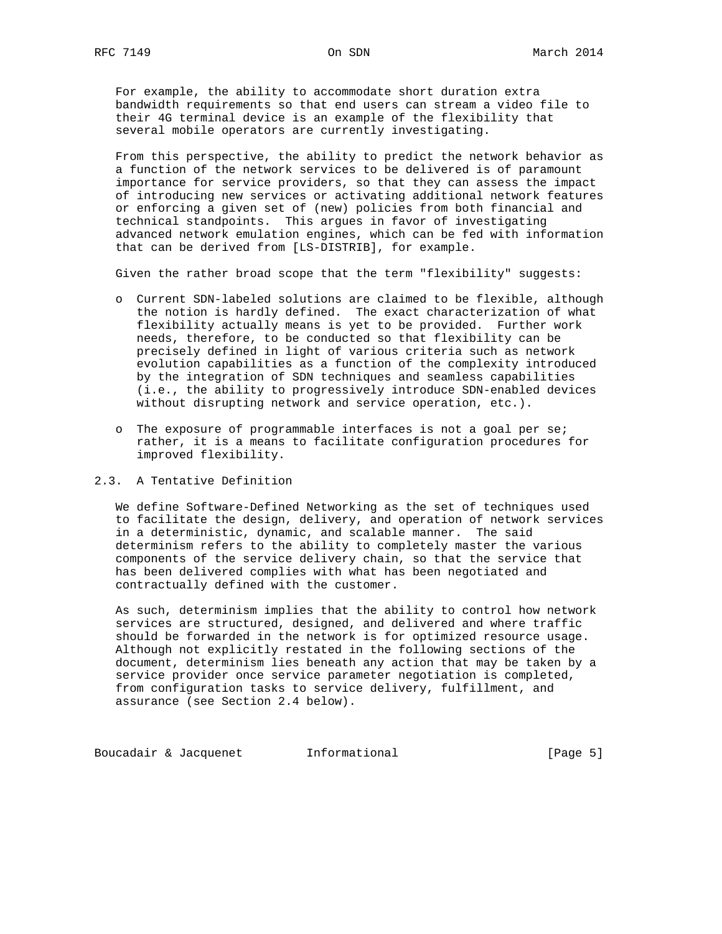For example, the ability to accommodate short duration extra bandwidth requirements so that end users can stream a video file to their 4G terminal device is an example of the flexibility that several mobile operators are currently investigating.

 From this perspective, the ability to predict the network behavior as a function of the network services to be delivered is of paramount importance for service providers, so that they can assess the impact of introducing new services or activating additional network features or enforcing a given set of (new) policies from both financial and technical standpoints. This argues in favor of investigating advanced network emulation engines, which can be fed with information that can be derived from [LS-DISTRIB], for example.

Given the rather broad scope that the term "flexibility" suggests:

- o Current SDN-labeled solutions are claimed to be flexible, although the notion is hardly defined. The exact characterization of what flexibility actually means is yet to be provided. Further work needs, therefore, to be conducted so that flexibility can be precisely defined in light of various criteria such as network evolution capabilities as a function of the complexity introduced by the integration of SDN techniques and seamless capabilities (i.e., the ability to progressively introduce SDN-enabled devices without disrupting network and service operation, etc.).
- o The exposure of programmable interfaces is not a goal per se; rather, it is a means to facilitate configuration procedures for improved flexibility.

# 2.3. A Tentative Definition

 We define Software-Defined Networking as the set of techniques used to facilitate the design, delivery, and operation of network services in a deterministic, dynamic, and scalable manner. The said determinism refers to the ability to completely master the various components of the service delivery chain, so that the service that has been delivered complies with what has been negotiated and contractually defined with the customer.

 As such, determinism implies that the ability to control how network services are structured, designed, and delivered and where traffic should be forwarded in the network is for optimized resource usage. Although not explicitly restated in the following sections of the document, determinism lies beneath any action that may be taken by a service provider once service parameter negotiation is completed, from configuration tasks to service delivery, fulfillment, and assurance (see Section 2.4 below).

Boucadair & Jacquenet 1nformational 1999 [Page 5]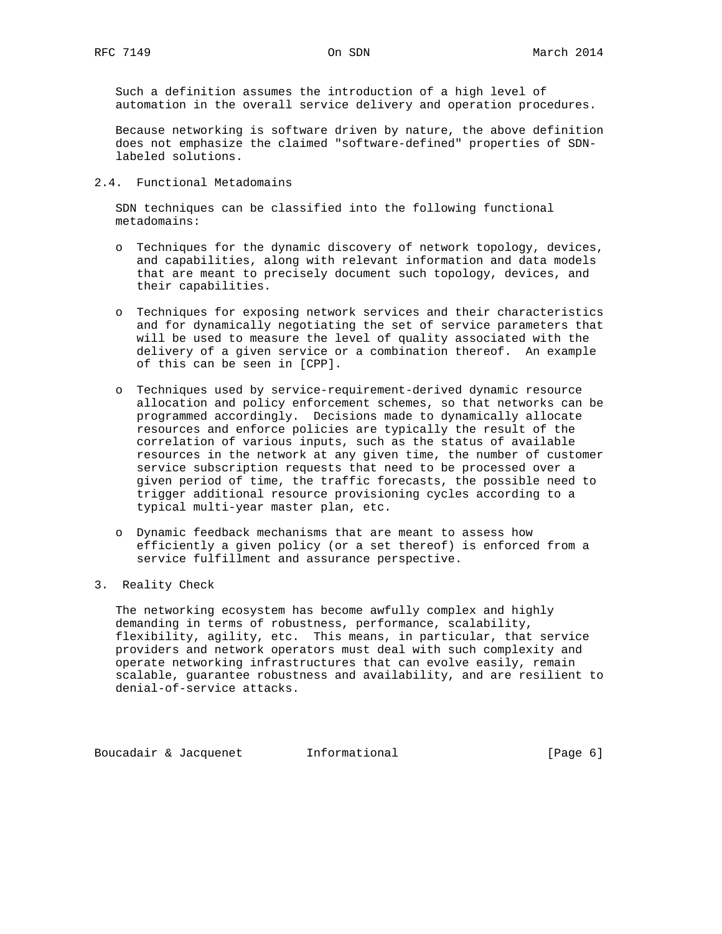Such a definition assumes the introduction of a high level of automation in the overall service delivery and operation procedures.

 Because networking is software driven by nature, the above definition does not emphasize the claimed "software-defined" properties of SDN labeled solutions.

### 2.4. Functional Metadomains

 SDN techniques can be classified into the following functional metadomains:

- o Techniques for the dynamic discovery of network topology, devices, and capabilities, along with relevant information and data models that are meant to precisely document such topology, devices, and their capabilities.
- o Techniques for exposing network services and their characteristics and for dynamically negotiating the set of service parameters that will be used to measure the level of quality associated with the delivery of a given service or a combination thereof. An example of this can be seen in [CPP].
- o Techniques used by service-requirement-derived dynamic resource allocation and policy enforcement schemes, so that networks can be programmed accordingly. Decisions made to dynamically allocate resources and enforce policies are typically the result of the correlation of various inputs, such as the status of available resources in the network at any given time, the number of customer service subscription requests that need to be processed over a given period of time, the traffic forecasts, the possible need to trigger additional resource provisioning cycles according to a typical multi-year master plan, etc.
- o Dynamic feedback mechanisms that are meant to assess how efficiently a given policy (or a set thereof) is enforced from a service fulfillment and assurance perspective.
- 3. Reality Check

 The networking ecosystem has become awfully complex and highly demanding in terms of robustness, performance, scalability, flexibility, agility, etc. This means, in particular, that service providers and network operators must deal with such complexity and operate networking infrastructures that can evolve easily, remain scalable, guarantee robustness and availability, and are resilient to denial-of-service attacks.

Boucadair & Jacquenet 1nformational (Page 6)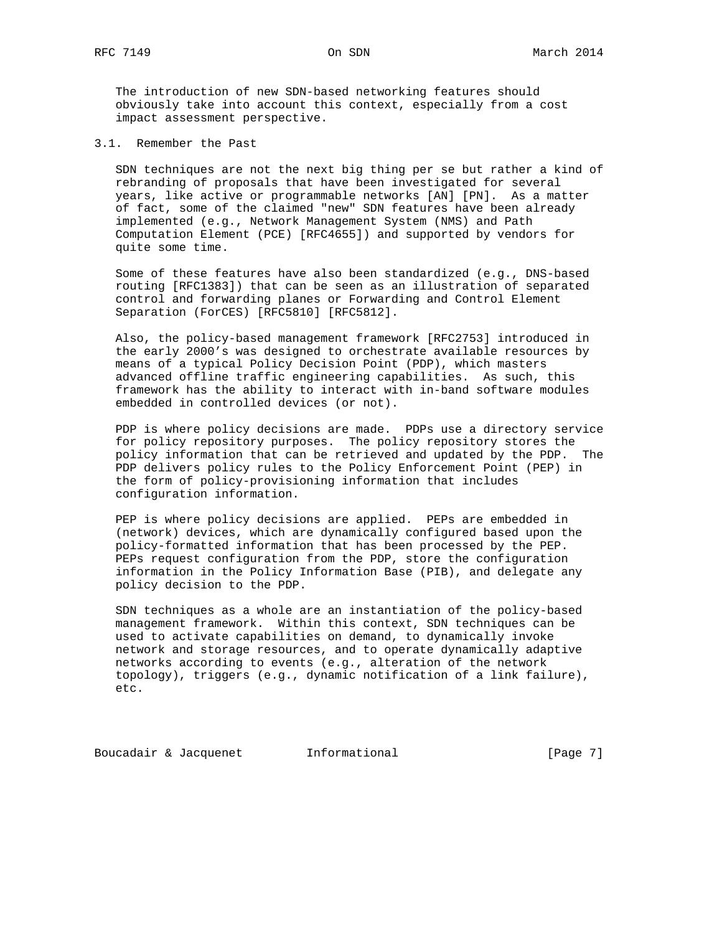The introduction of new SDN-based networking features should obviously take into account this context, especially from a cost impact assessment perspective.

3.1. Remember the Past

 SDN techniques are not the next big thing per se but rather a kind of rebranding of proposals that have been investigated for several years, like active or programmable networks [AN] [PN]. As a matter of fact, some of the claimed "new" SDN features have been already implemented (e.g., Network Management System (NMS) and Path Computation Element (PCE) [RFC4655]) and supported by vendors for quite some time.

 Some of these features have also been standardized (e.g., DNS-based routing [RFC1383]) that can be seen as an illustration of separated control and forwarding planes or Forwarding and Control Element Separation (ForCES) [RFC5810] [RFC5812].

 Also, the policy-based management framework [RFC2753] introduced in the early 2000's was designed to orchestrate available resources by means of a typical Policy Decision Point (PDP), which masters advanced offline traffic engineering capabilities. As such, this framework has the ability to interact with in-band software modules embedded in controlled devices (or not).

 PDP is where policy decisions are made. PDPs use a directory service for policy repository purposes. The policy repository stores the policy information that can be retrieved and updated by the PDP. The PDP delivers policy rules to the Policy Enforcement Point (PEP) in the form of policy-provisioning information that includes configuration information.

 PEP is where policy decisions are applied. PEPs are embedded in (network) devices, which are dynamically configured based upon the policy-formatted information that has been processed by the PEP. PEPs request configuration from the PDP, store the configuration information in the Policy Information Base (PIB), and delegate any policy decision to the PDP.

 SDN techniques as a whole are an instantiation of the policy-based management framework. Within this context, SDN techniques can be used to activate capabilities on demand, to dynamically invoke network and storage resources, and to operate dynamically adaptive networks according to events (e.g., alteration of the network topology), triggers (e.g., dynamic notification of a link failure), etc.

Boucadair & Jacquenet 1nformational 1000 [Page 7]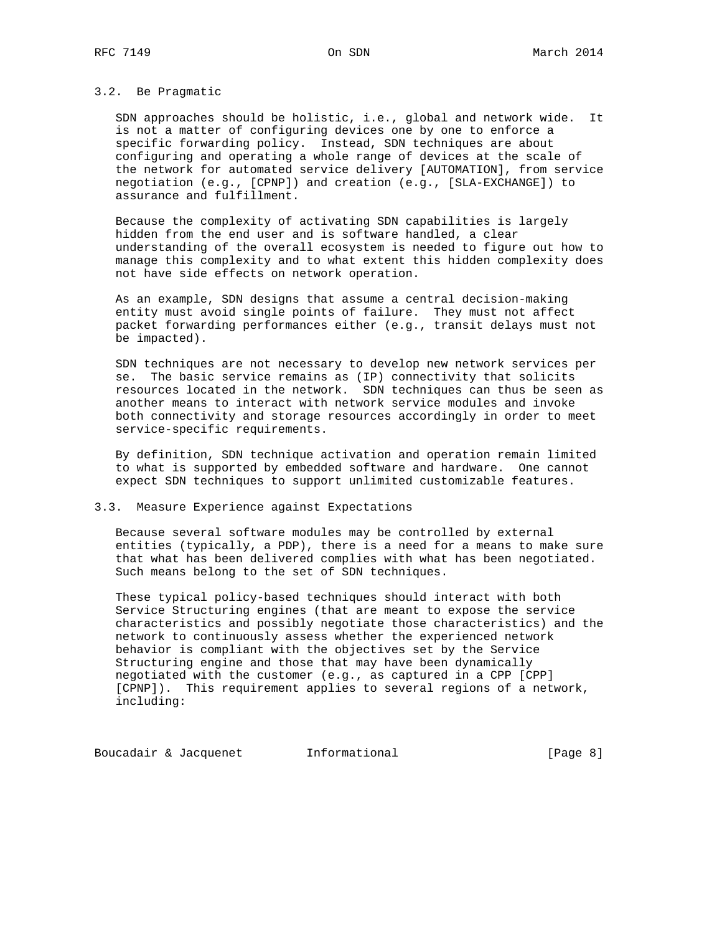# 3.2. Be Pragmatic

 SDN approaches should be holistic, i.e., global and network wide. It is not a matter of configuring devices one by one to enforce a specific forwarding policy. Instead, SDN techniques are about configuring and operating a whole range of devices at the scale of the network for automated service delivery [AUTOMATION], from service negotiation (e.g., [CPNP]) and creation (e.g., [SLA-EXCHANGE]) to assurance and fulfillment.

 Because the complexity of activating SDN capabilities is largely hidden from the end user and is software handled, a clear understanding of the overall ecosystem is needed to figure out how to manage this complexity and to what extent this hidden complexity does not have side effects on network operation.

 As an example, SDN designs that assume a central decision-making entity must avoid single points of failure. They must not affect packet forwarding performances either (e.g., transit delays must not be impacted).

 SDN techniques are not necessary to develop new network services per se. The basic service remains as (IP) connectivity that solicits resources located in the network. SDN techniques can thus be seen as another means to interact with network service modules and invoke both connectivity and storage resources accordingly in order to meet service-specific requirements.

 By definition, SDN technique activation and operation remain limited to what is supported by embedded software and hardware. One cannot expect SDN techniques to support unlimited customizable features.

#### 3.3. Measure Experience against Expectations

 Because several software modules may be controlled by external entities (typically, a PDP), there is a need for a means to make sure that what has been delivered complies with what has been negotiated. Such means belong to the set of SDN techniques.

 These typical policy-based techniques should interact with both Service Structuring engines (that are meant to expose the service characteristics and possibly negotiate those characteristics) and the network to continuously assess whether the experienced network behavior is compliant with the objectives set by the Service Structuring engine and those that may have been dynamically negotiated with the customer (e.g., as captured in a CPP [CPP] [CPNP]). This requirement applies to several regions of a network, including:

Boucadair & Jacquenet 1nformational 1000 [Page 8]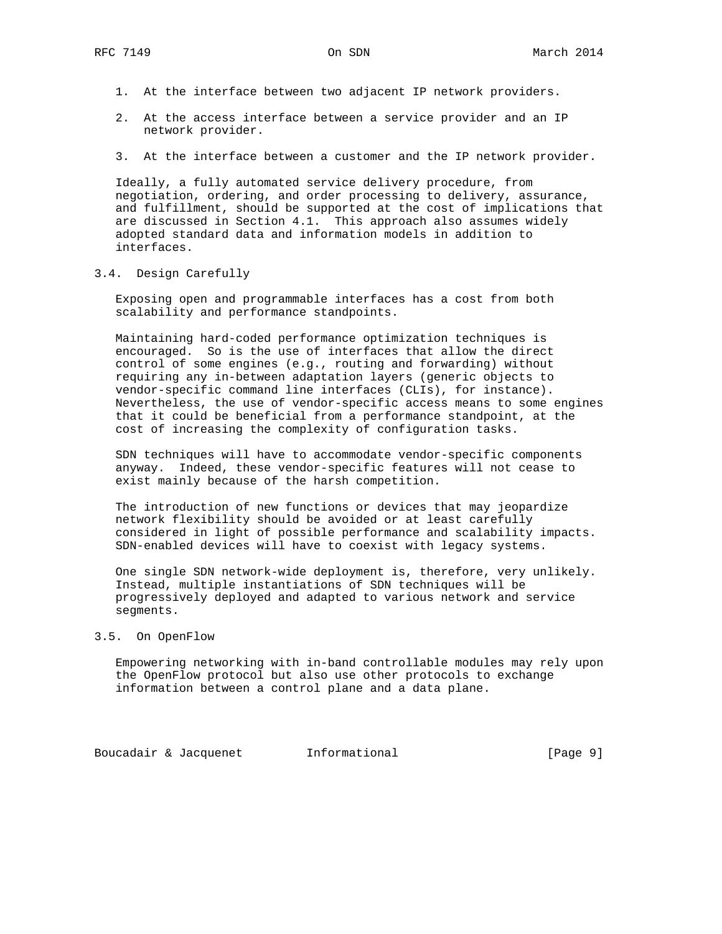- 1. At the interface between two adjacent IP network providers.
- 2. At the access interface between a service provider and an IP network provider.
- 3. At the interface between a customer and the IP network provider.

 Ideally, a fully automated service delivery procedure, from negotiation, ordering, and order processing to delivery, assurance, and fulfillment, should be supported at the cost of implications that are discussed in Section 4.1. This approach also assumes widely adopted standard data and information models in addition to interfaces.

3.4. Design Carefully

 Exposing open and programmable interfaces has a cost from both scalability and performance standpoints.

 Maintaining hard-coded performance optimization techniques is encouraged. So is the use of interfaces that allow the direct control of some engines (e.g., routing and forwarding) without requiring any in-between adaptation layers (generic objects to vendor-specific command line interfaces (CLIs), for instance). Nevertheless, the use of vendor-specific access means to some engines that it could be beneficial from a performance standpoint, at the cost of increasing the complexity of configuration tasks.

 SDN techniques will have to accommodate vendor-specific components anyway. Indeed, these vendor-specific features will not cease to exist mainly because of the harsh competition.

 The introduction of new functions or devices that may jeopardize network flexibility should be avoided or at least carefully considered in light of possible performance and scalability impacts. SDN-enabled devices will have to coexist with legacy systems.

 One single SDN network-wide deployment is, therefore, very unlikely. Instead, multiple instantiations of SDN techniques will be progressively deployed and adapted to various network and service segments.

#### 3.5. On OpenFlow

 Empowering networking with in-band controllable modules may rely upon the OpenFlow protocol but also use other protocols to exchange information between a control plane and a data plane.

Boucadair & Jacquenet 1nformational 1000 [Page 9]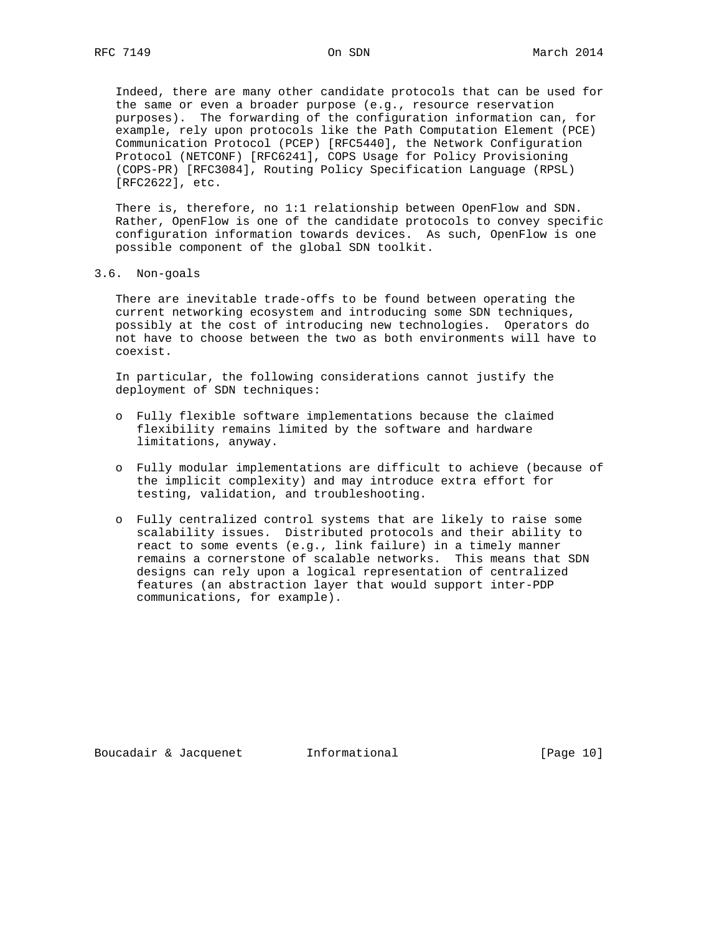Indeed, there are many other candidate protocols that can be used for the same or even a broader purpose (e.g., resource reservation purposes). The forwarding of the configuration information can, for example, rely upon protocols like the Path Computation Element (PCE) Communication Protocol (PCEP) [RFC5440], the Network Configuration Protocol (NETCONF) [RFC6241], COPS Usage for Policy Provisioning (COPS-PR) [RFC3084], Routing Policy Specification Language (RPSL) [RFC2622], etc.

 There is, therefore, no 1:1 relationship between OpenFlow and SDN. Rather, OpenFlow is one of the candidate protocols to convey specific configuration information towards devices. As such, OpenFlow is one possible component of the global SDN toolkit.

3.6. Non-goals

 There are inevitable trade-offs to be found between operating the current networking ecosystem and introducing some SDN techniques, possibly at the cost of introducing new technologies. Operators do not have to choose between the two as both environments will have to coexist.

 In particular, the following considerations cannot justify the deployment of SDN techniques:

- o Fully flexible software implementations because the claimed flexibility remains limited by the software and hardware limitations, anyway.
- o Fully modular implementations are difficult to achieve (because of the implicit complexity) and may introduce extra effort for testing, validation, and troubleshooting.
- o Fully centralized control systems that are likely to raise some scalability issues. Distributed protocols and their ability to react to some events (e.g., link failure) in a timely manner remains a cornerstone of scalable networks. This means that SDN designs can rely upon a logical representation of centralized features (an abstraction layer that would support inter-PDP communications, for example).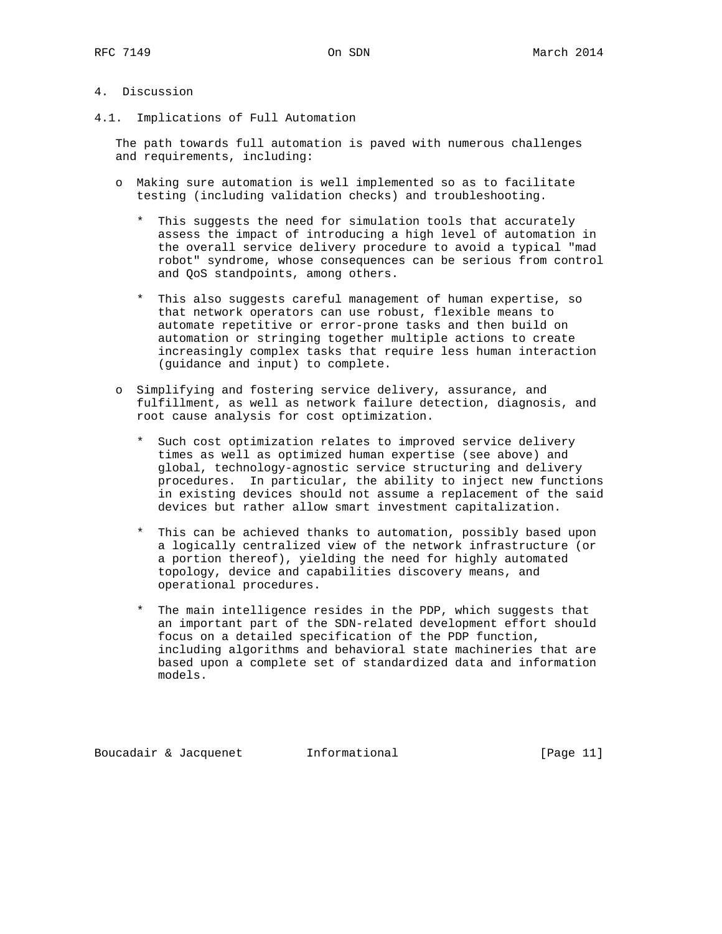# 4. Discussion

4.1. Implications of Full Automation

 The path towards full automation is paved with numerous challenges and requirements, including:

- o Making sure automation is well implemented so as to facilitate testing (including validation checks) and troubleshooting.
	- \* This suggests the need for simulation tools that accurately assess the impact of introducing a high level of automation in the overall service delivery procedure to avoid a typical "mad robot" syndrome, whose consequences can be serious from control and QoS standpoints, among others.
	- \* This also suggests careful management of human expertise, so that network operators can use robust, flexible means to automate repetitive or error-prone tasks and then build on automation or stringing together multiple actions to create increasingly complex tasks that require less human interaction (guidance and input) to complete.
- o Simplifying and fostering service delivery, assurance, and fulfillment, as well as network failure detection, diagnosis, and root cause analysis for cost optimization.
	- \* Such cost optimization relates to improved service delivery times as well as optimized human expertise (see above) and global, technology-agnostic service structuring and delivery procedures. In particular, the ability to inject new functions in existing devices should not assume a replacement of the said devices but rather allow smart investment capitalization.
	- \* This can be achieved thanks to automation, possibly based upon a logically centralized view of the network infrastructure (or a portion thereof), yielding the need for highly automated topology, device and capabilities discovery means, and operational procedures.
	- \* The main intelligence resides in the PDP, which suggests that an important part of the SDN-related development effort should focus on a detailed specification of the PDP function, including algorithms and behavioral state machineries that are based upon a complete set of standardized data and information models.

Boucadair & Jacquenet [Page 11]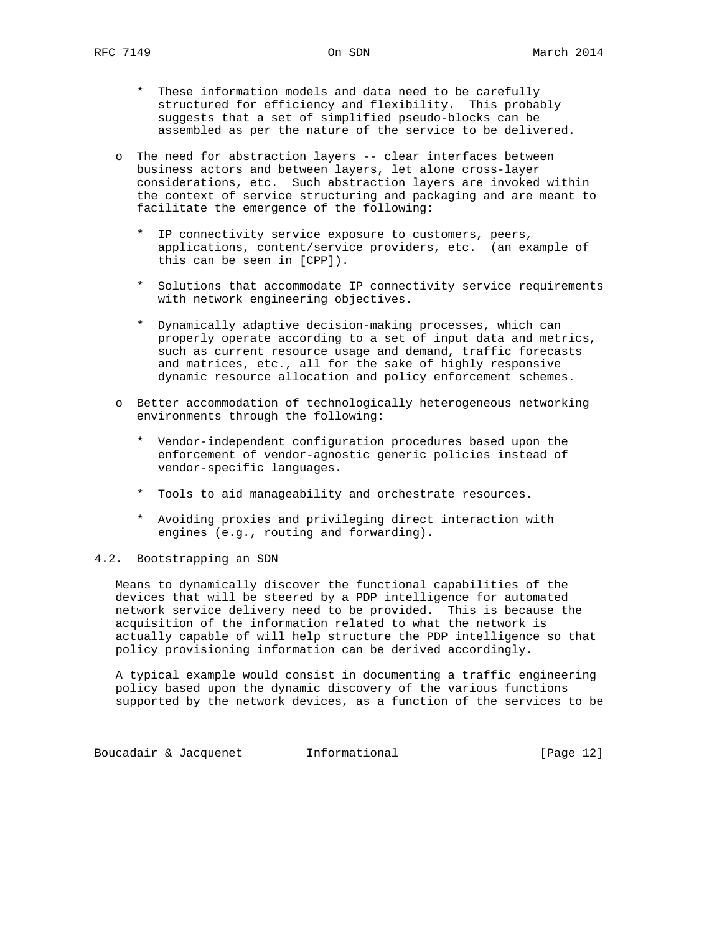- \* These information models and data need to be carefully structured for efficiency and flexibility. This probably suggests that a set of simplified pseudo-blocks can be assembled as per the nature of the service to be delivered.
- o The need for abstraction layers -- clear interfaces between business actors and between layers, let alone cross-layer considerations, etc. Such abstraction layers are invoked within the context of service structuring and packaging and are meant to facilitate the emergence of the following:
	- \* IP connectivity service exposure to customers, peers, applications, content/service providers, etc. (an example of this can be seen in [CPP]).
	- \* Solutions that accommodate IP connectivity service requirements with network engineering objectives.
	- \* Dynamically adaptive decision-making processes, which can properly operate according to a set of input data and metrics, such as current resource usage and demand, traffic forecasts and matrices, etc., all for the sake of highly responsive dynamic resource allocation and policy enforcement schemes.
- o Better accommodation of technologically heterogeneous networking environments through the following:
	- \* Vendor-independent configuration procedures based upon the enforcement of vendor-agnostic generic policies instead of vendor-specific languages.
	- \* Tools to aid manageability and orchestrate resources.
	- \* Avoiding proxies and privileging direct interaction with engines (e.g., routing and forwarding).

# 4.2. Bootstrapping an SDN

 Means to dynamically discover the functional capabilities of the devices that will be steered by a PDP intelligence for automated network service delivery need to be provided. This is because the acquisition of the information related to what the network is actually capable of will help structure the PDP intelligence so that policy provisioning information can be derived accordingly.

 A typical example would consist in documenting a traffic engineering policy based upon the dynamic discovery of the various functions supported by the network devices, as a function of the services to be

Boucadair & Jacquenet 1nformational 1999 [Page 12]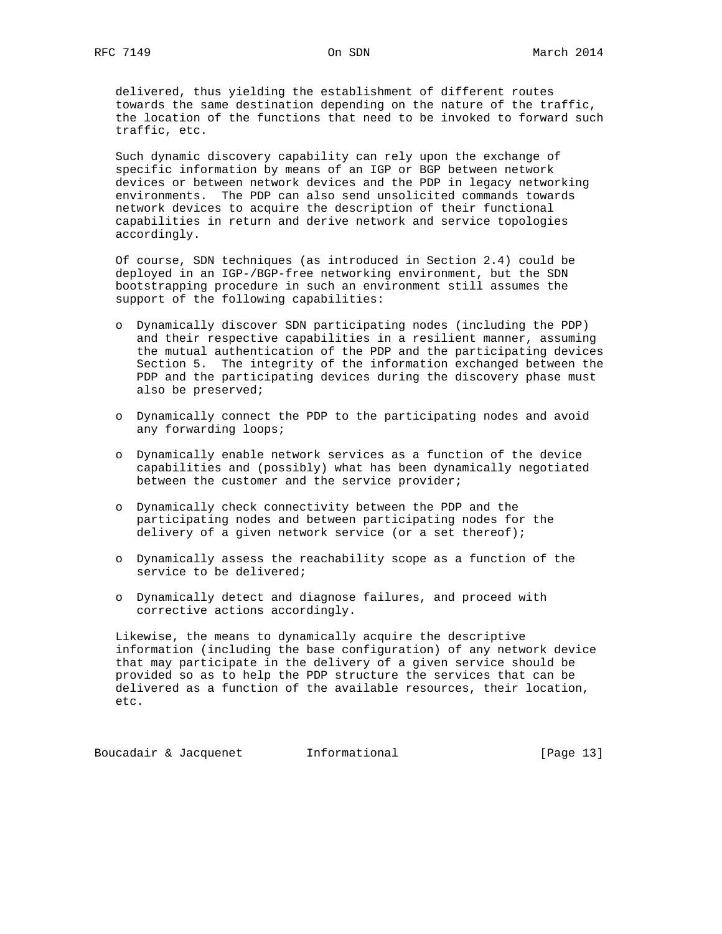delivered, thus yielding the establishment of different routes towards the same destination depending on the nature of the traffic, the location of the functions that need to be invoked to forward such traffic, etc.

 Such dynamic discovery capability can rely upon the exchange of specific information by means of an IGP or BGP between network devices or between network devices and the PDP in legacy networking environments. The PDP can also send unsolicited commands towards network devices to acquire the description of their functional capabilities in return and derive network and service topologies accordingly.

 Of course, SDN techniques (as introduced in Section 2.4) could be deployed in an IGP-/BGP-free networking environment, but the SDN bootstrapping procedure in such an environment still assumes the support of the following capabilities:

- o Dynamically discover SDN participating nodes (including the PDP) and their respective capabilities in a resilient manner, assuming the mutual authentication of the PDP and the participating devices Section 5. The integrity of the information exchanged between the PDP and the participating devices during the discovery phase must also be preserved;
- o Dynamically connect the PDP to the participating nodes and avoid any forwarding loops;
- o Dynamically enable network services as a function of the device capabilities and (possibly) what has been dynamically negotiated between the customer and the service provider;
- o Dynamically check connectivity between the PDP and the participating nodes and between participating nodes for the delivery of a given network service (or a set thereof);
- o Dynamically assess the reachability scope as a function of the service to be delivered;
- o Dynamically detect and diagnose failures, and proceed with corrective actions accordingly.

 Likewise, the means to dynamically acquire the descriptive information (including the base configuration) of any network device that may participate in the delivery of a given service should be provided so as to help the PDP structure the services that can be delivered as a function of the available resources, their location, etc.

Boucadair & Jacquenet 1nformational [Page 13]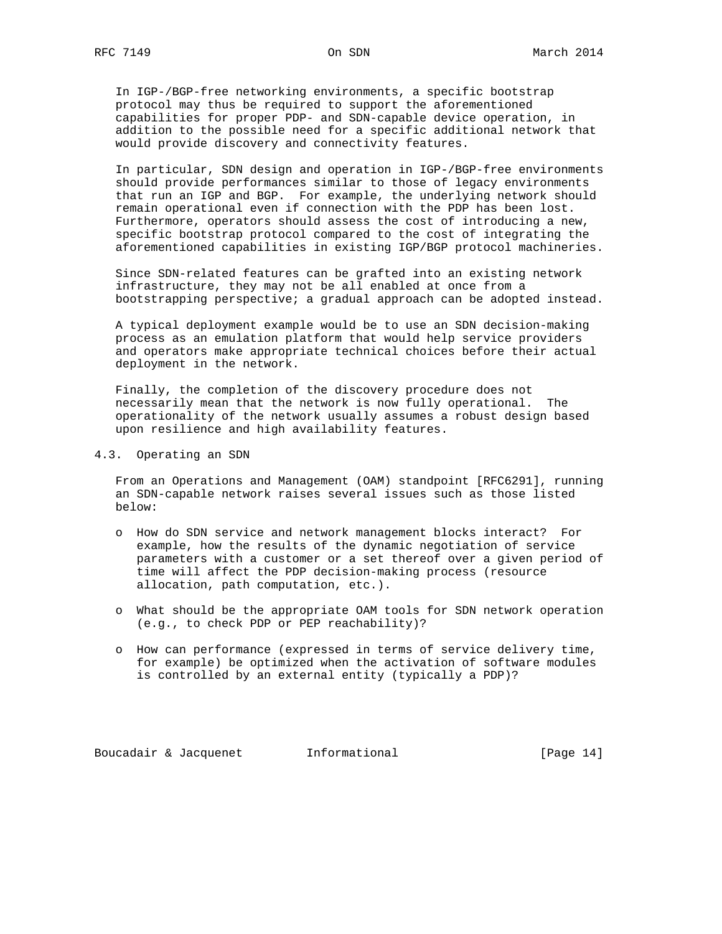In IGP-/BGP-free networking environments, a specific bootstrap protocol may thus be required to support the aforementioned capabilities for proper PDP- and SDN-capable device operation, in addition to the possible need for a specific additional network that would provide discovery and connectivity features.

 In particular, SDN design and operation in IGP-/BGP-free environments should provide performances similar to those of legacy environments that run an IGP and BGP. For example, the underlying network should remain operational even if connection with the PDP has been lost. Furthermore, operators should assess the cost of introducing a new, specific bootstrap protocol compared to the cost of integrating the aforementioned capabilities in existing IGP/BGP protocol machineries.

 Since SDN-related features can be grafted into an existing network infrastructure, they may not be all enabled at once from a bootstrapping perspective; a gradual approach can be adopted instead.

 A typical deployment example would be to use an SDN decision-making process as an emulation platform that would help service providers and operators make appropriate technical choices before their actual deployment in the network.

 Finally, the completion of the discovery procedure does not necessarily mean that the network is now fully operational. The operationality of the network usually assumes a robust design based upon resilience and high availability features.

4.3. Operating an SDN

 From an Operations and Management (OAM) standpoint [RFC6291], running an SDN-capable network raises several issues such as those listed below:

- o How do SDN service and network management blocks interact? For example, how the results of the dynamic negotiation of service parameters with a customer or a set thereof over a given period of time will affect the PDP decision-making process (resource allocation, path computation, etc.).
- o What should be the appropriate OAM tools for SDN network operation (e.g., to check PDP or PEP reachability)?
- o How can performance (expressed in terms of service delivery time, for example) be optimized when the activation of software modules is controlled by an external entity (typically a PDP)?

Boucadair & Jacquenet 1nformational [Page 14]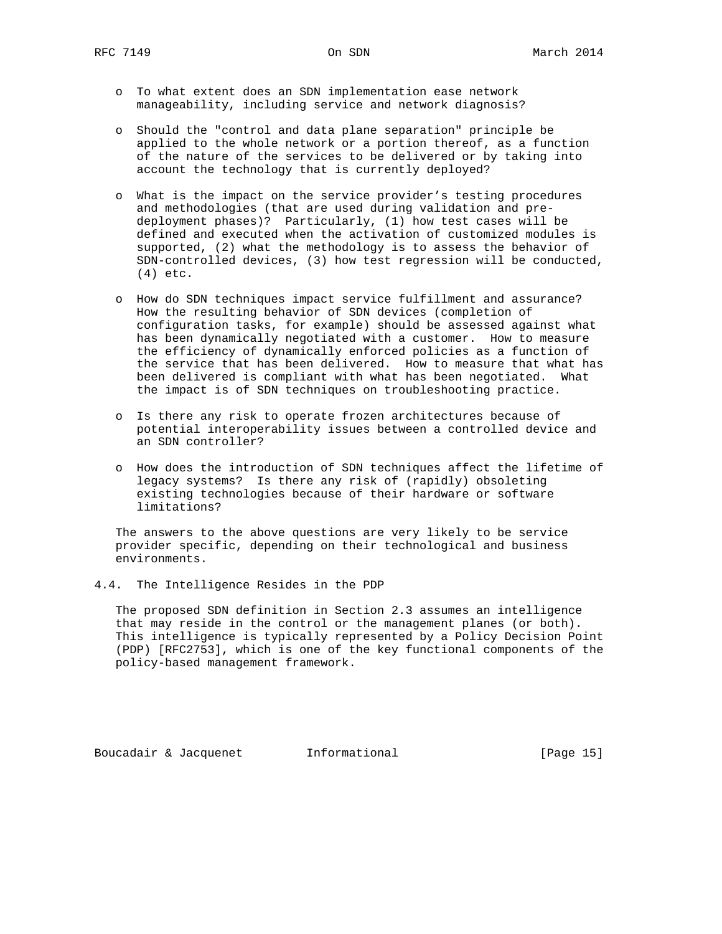- o To what extent does an SDN implementation ease network manageability, including service and network diagnosis?
- o Should the "control and data plane separation" principle be applied to the whole network or a portion thereof, as a function of the nature of the services to be delivered or by taking into account the technology that is currently deployed?
- o What is the impact on the service provider's testing procedures and methodologies (that are used during validation and pre deployment phases)? Particularly, (1) how test cases will be defined and executed when the activation of customized modules is supported, (2) what the methodology is to assess the behavior of SDN-controlled devices, (3) how test regression will be conducted, (4) etc.
- o How do SDN techniques impact service fulfillment and assurance? How the resulting behavior of SDN devices (completion of configuration tasks, for example) should be assessed against what has been dynamically negotiated with a customer. How to measure the efficiency of dynamically enforced policies as a function of the service that has been delivered. How to measure that what has been delivered is compliant with what has been negotiated. What the impact is of SDN techniques on troubleshooting practice.
- o Is there any risk to operate frozen architectures because of potential interoperability issues between a controlled device and an SDN controller?
- o How does the introduction of SDN techniques affect the lifetime of legacy systems? Is there any risk of (rapidly) obsoleting existing technologies because of their hardware or software limitations?

 The answers to the above questions are very likely to be service provider specific, depending on their technological and business environments.

4.4. The Intelligence Resides in the PDP

 The proposed SDN definition in Section 2.3 assumes an intelligence that may reside in the control or the management planes (or both). This intelligence is typically represented by a Policy Decision Point (PDP) [RFC2753], which is one of the key functional components of the policy-based management framework.

Boucadair & Jacquenet 1nformational [Page 15]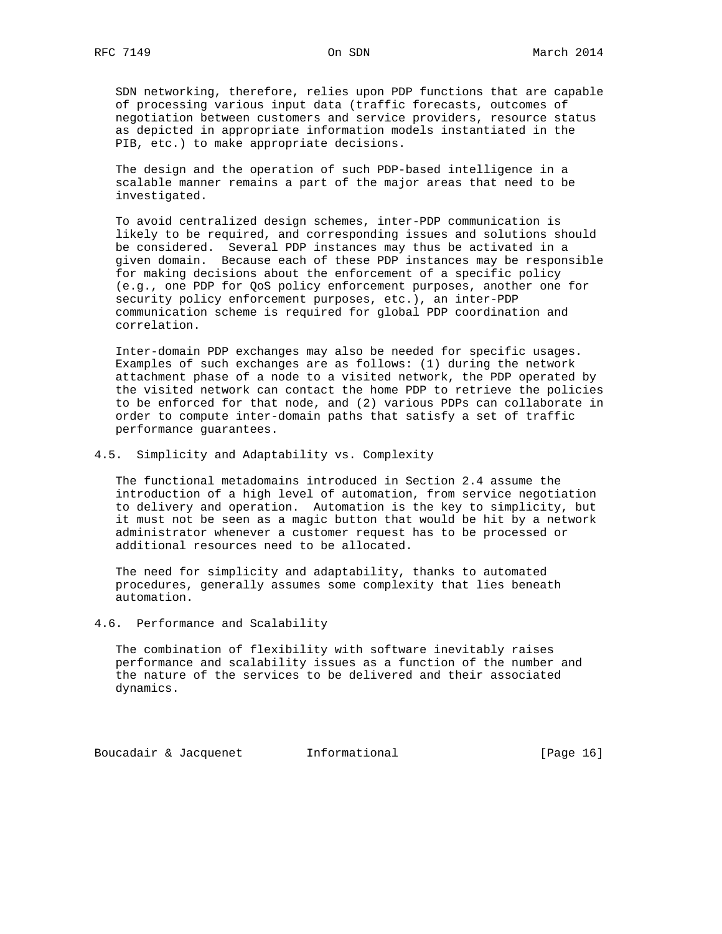SDN networking, therefore, relies upon PDP functions that are capable of processing various input data (traffic forecasts, outcomes of negotiation between customers and service providers, resource status as depicted in appropriate information models instantiated in the PIB, etc.) to make appropriate decisions.

 The design and the operation of such PDP-based intelligence in a scalable manner remains a part of the major areas that need to be investigated.

 To avoid centralized design schemes, inter-PDP communication is likely to be required, and corresponding issues and solutions should be considered. Several PDP instances may thus be activated in a given domain. Because each of these PDP instances may be responsible for making decisions about the enforcement of a specific policy (e.g., one PDP for QoS policy enforcement purposes, another one for security policy enforcement purposes, etc.), an inter-PDP communication scheme is required for global PDP coordination and correlation.

 Inter-domain PDP exchanges may also be needed for specific usages. Examples of such exchanges are as follows: (1) during the network attachment phase of a node to a visited network, the PDP operated by the visited network can contact the home PDP to retrieve the policies to be enforced for that node, and (2) various PDPs can collaborate in order to compute inter-domain paths that satisfy a set of traffic performance guarantees.

4.5. Simplicity and Adaptability vs. Complexity

 The functional metadomains introduced in Section 2.4 assume the introduction of a high level of automation, from service negotiation to delivery and operation. Automation is the key to simplicity, but it must not be seen as a magic button that would be hit by a network administrator whenever a customer request has to be processed or additional resources need to be allocated.

 The need for simplicity and adaptability, thanks to automated procedures, generally assumes some complexity that lies beneath automation.

4.6. Performance and Scalability

 The combination of flexibility with software inevitably raises performance and scalability issues as a function of the number and the nature of the services to be delivered and their associated dynamics.

Boucadair & Jacquenet 1nformational [Page 16]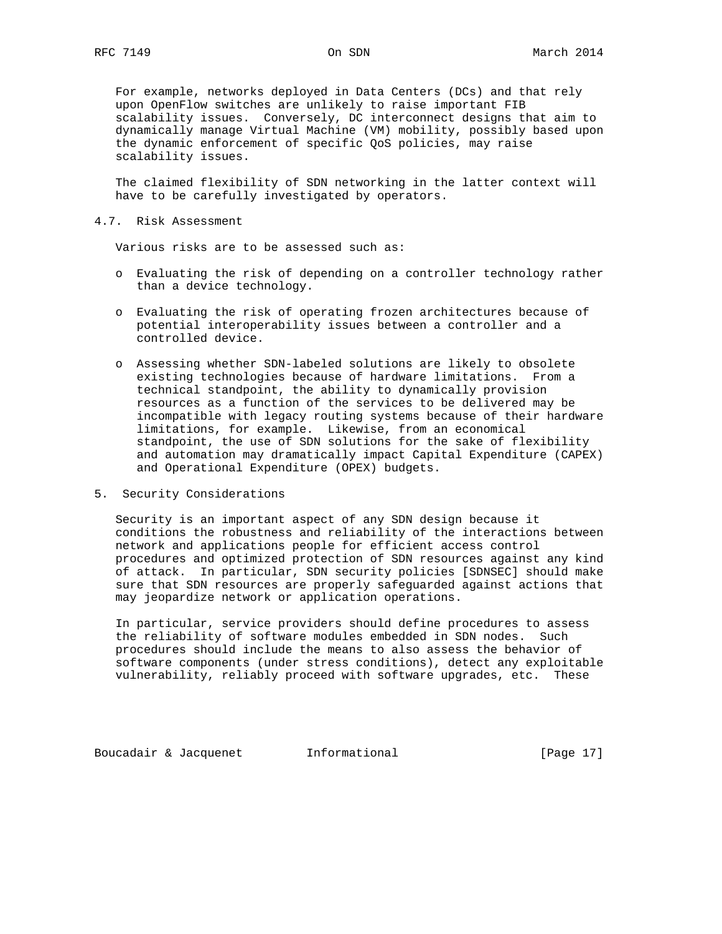For example, networks deployed in Data Centers (DCs) and that rely upon OpenFlow switches are unlikely to raise important FIB scalability issues. Conversely, DC interconnect designs that aim to dynamically manage Virtual Machine (VM) mobility, possibly based upon the dynamic enforcement of specific QoS policies, may raise scalability issues.

 The claimed flexibility of SDN networking in the latter context will have to be carefully investigated by operators.

### 4.7. Risk Assessment

Various risks are to be assessed such as:

- o Evaluating the risk of depending on a controller technology rather than a device technology.
- o Evaluating the risk of operating frozen architectures because of potential interoperability issues between a controller and a controlled device.
- o Assessing whether SDN-labeled solutions are likely to obsolete existing technologies because of hardware limitations. From a technical standpoint, the ability to dynamically provision resources as a function of the services to be delivered may be incompatible with legacy routing systems because of their hardware limitations, for example. Likewise, from an economical standpoint, the use of SDN solutions for the sake of flexibility and automation may dramatically impact Capital Expenditure (CAPEX) and Operational Expenditure (OPEX) budgets.
- 5. Security Considerations

 Security is an important aspect of any SDN design because it conditions the robustness and reliability of the interactions between network and applications people for efficient access control procedures and optimized protection of SDN resources against any kind of attack. In particular, SDN security policies [SDNSEC] should make sure that SDN resources are properly safeguarded against actions that may jeopardize network or application operations.

 In particular, service providers should define procedures to assess the reliability of software modules embedded in SDN nodes. Such procedures should include the means to also assess the behavior of software components (under stress conditions), detect any exploitable vulnerability, reliably proceed with software upgrades, etc. These

Boucadair & Jacquenet 1nformational [Page 17]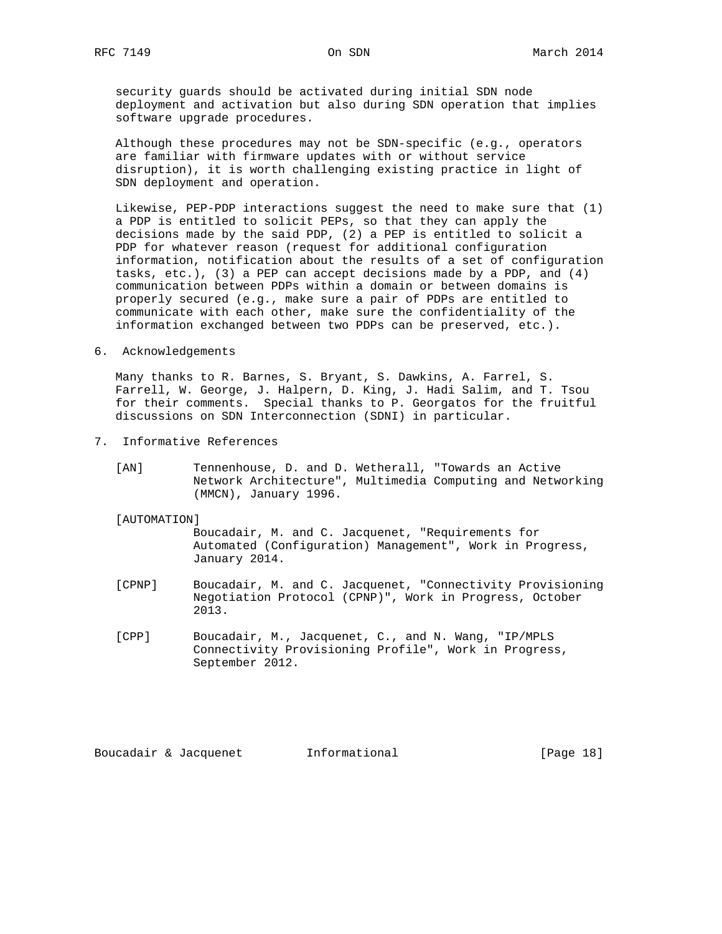security guards should be activated during initial SDN node deployment and activation but also during SDN operation that implies software upgrade procedures.

 Although these procedures may not be SDN-specific (e.g., operators are familiar with firmware updates with or without service disruption), it is worth challenging existing practice in light of SDN deployment and operation.

 Likewise, PEP-PDP interactions suggest the need to make sure that (1) a PDP is entitled to solicit PEPs, so that they can apply the decisions made by the said PDP, (2) a PEP is entitled to solicit a PDP for whatever reason (request for additional configuration information, notification about the results of a set of configuration tasks, etc.), (3) a PEP can accept decisions made by a PDP, and (4) communication between PDPs within a domain or between domains is properly secured (e.g., make sure a pair of PDPs are entitled to communicate with each other, make sure the confidentiality of the information exchanged between two PDPs can be preserved, etc.).

6. Acknowledgements

 Many thanks to R. Barnes, S. Bryant, S. Dawkins, A. Farrel, S. Farrell, W. George, J. Halpern, D. King, J. Hadi Salim, and T. Tsou for their comments. Special thanks to P. Georgatos for the fruitful discussions on SDN Interconnection (SDNI) in particular.

- 7. Informative References
	- [AN] Tennenhouse, D. and D. Wetherall, "Towards an Active Network Architecture", Multimedia Computing and Networking (MMCN), January 1996.

### [AUTOMATION]

 Boucadair, M. and C. Jacquenet, "Requirements for Automated (Configuration) Management", Work in Progress, January 2014.

- [CPNP] Boucadair, M. and C. Jacquenet, "Connectivity Provisioning Negotiation Protocol (CPNP)", Work in Progress, October 2013.
- [CPP] Boucadair, M., Jacquenet, C., and N. Wang, "IP/MPLS Connectivity Provisioning Profile", Work in Progress, September 2012.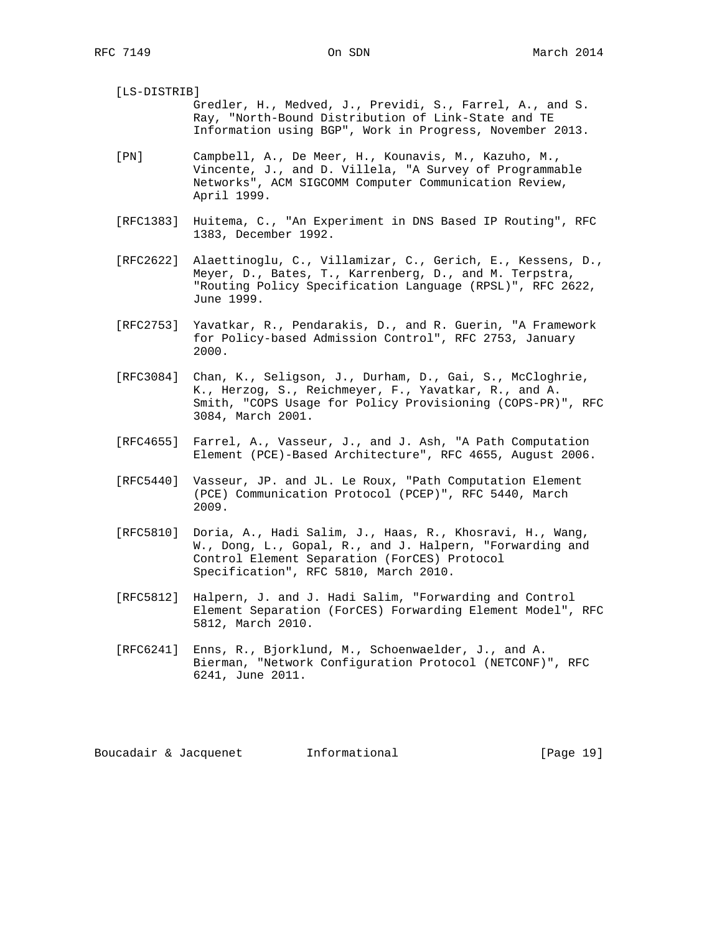| [LS-DISTRIB] |                                                          |
|--------------|----------------------------------------------------------|
|              | Gredler, H., Medved, J., Previdi, S., Farrel, A., and S. |
|              | Ray, "North-Bound Distribution of Link-State and TE      |
|              | Information using BGP", Work in Progress, November 2013. |
|              |                                                          |

- [PN] Campbell, A., De Meer, H., Kounavis, M., Kazuho, M., Vincente, J., and D. Villela, "A Survey of Programmable Networks", ACM SIGCOMM Computer Communication Review, April 1999.
- [RFC1383] Huitema, C., "An Experiment in DNS Based IP Routing", RFC 1383, December 1992.
- [RFC2622] Alaettinoglu, C., Villamizar, C., Gerich, E., Kessens, D., Meyer, D., Bates, T., Karrenberg, D., and M. Terpstra, "Routing Policy Specification Language (RPSL)", RFC 2622, June 1999.
- [RFC2753] Yavatkar, R., Pendarakis, D., and R. Guerin, "A Framework for Policy-based Admission Control", RFC 2753, January 2000.
- [RFC3084] Chan, K., Seligson, J., Durham, D., Gai, S., McCloghrie, K., Herzog, S., Reichmeyer, F., Yavatkar, R., and A. Smith, "COPS Usage for Policy Provisioning (COPS-PR)", RFC 3084, March 2001.
- [RFC4655] Farrel, A., Vasseur, J., and J. Ash, "A Path Computation Element (PCE)-Based Architecture", RFC 4655, August 2006.
- [RFC5440] Vasseur, JP. and JL. Le Roux, "Path Computation Element (PCE) Communication Protocol (PCEP)", RFC 5440, March 2009.
- [RFC5810] Doria, A., Hadi Salim, J., Haas, R., Khosravi, H., Wang, W., Dong, L., Gopal, R., and J. Halpern, "Forwarding and Control Element Separation (ForCES) Protocol Specification", RFC 5810, March 2010.
- [RFC5812] Halpern, J. and J. Hadi Salim, "Forwarding and Control Element Separation (ForCES) Forwarding Element Model", RFC 5812, March 2010.
- [RFC6241] Enns, R., Bjorklund, M., Schoenwaelder, J., and A. Bierman, "Network Configuration Protocol (NETCONF)", RFC 6241, June 2011.

Boucadair & Jacquenet 1nformational [Page 19]